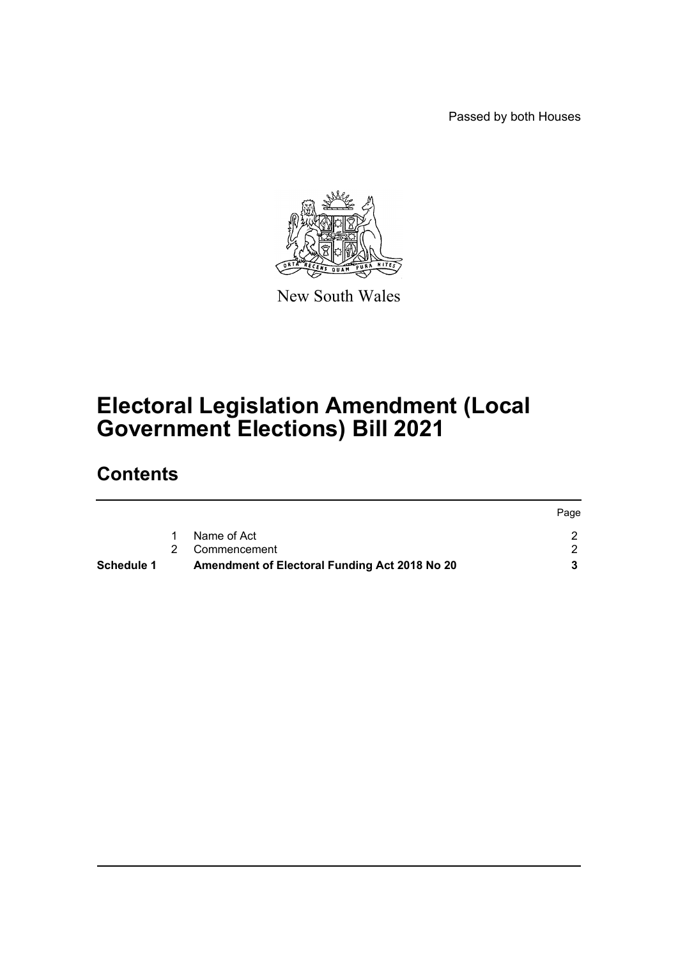Passed by both Houses



New South Wales

# **Electoral Legislation Amendment (Local Government Elections) Bill 2021**

## **Contents**

|                   |                                               | Page |
|-------------------|-----------------------------------------------|------|
|                   | Name of Act                                   |      |
|                   | 2 Commencement                                |      |
| <b>Schedule 1</b> | Amendment of Electoral Funding Act 2018 No 20 |      |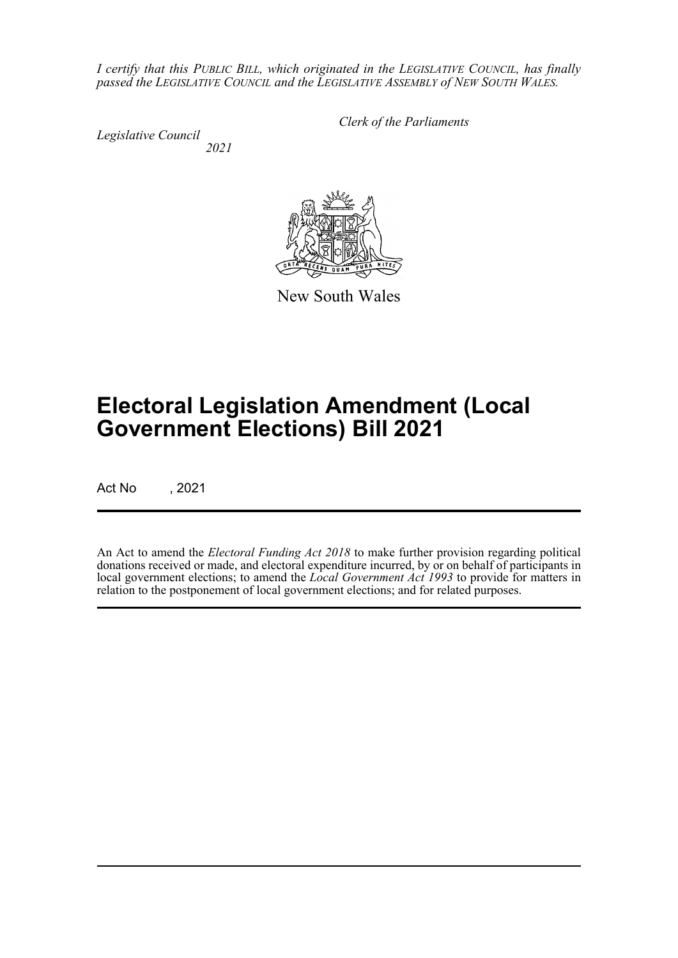*I certify that this PUBLIC BILL, which originated in the LEGISLATIVE COUNCIL, has finally passed the LEGISLATIVE COUNCIL and the LEGISLATIVE ASSEMBLY of NEW SOUTH WALES.*

*Legislative Council 2021* *Clerk of the Parliaments*

New South Wales

# **Electoral Legislation Amendment (Local Government Elections) Bill 2021**

Act No , 2021

An Act to amend the *Electoral Funding Act 2018* to make further provision regarding political donations received or made, and electoral expenditure incurred, by or on behalf of participants in local government elections; to amend the *Local Government Act 1993* to provide for matters in relation to the postponement of local government elections; and for related purposes.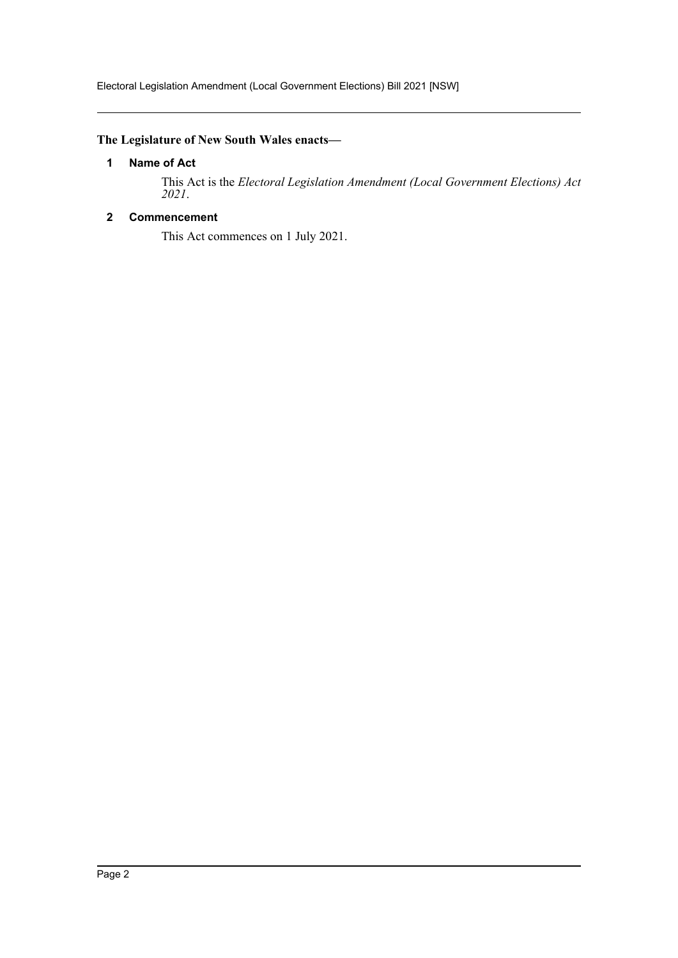#### <span id="page-2-0"></span>**The Legislature of New South Wales enacts—**

#### **1 Name of Act**

This Act is the *Electoral Legislation Amendment (Local Government Elections) Act 2021*.

#### <span id="page-2-1"></span>**2 Commencement**

This Act commences on 1 July 2021.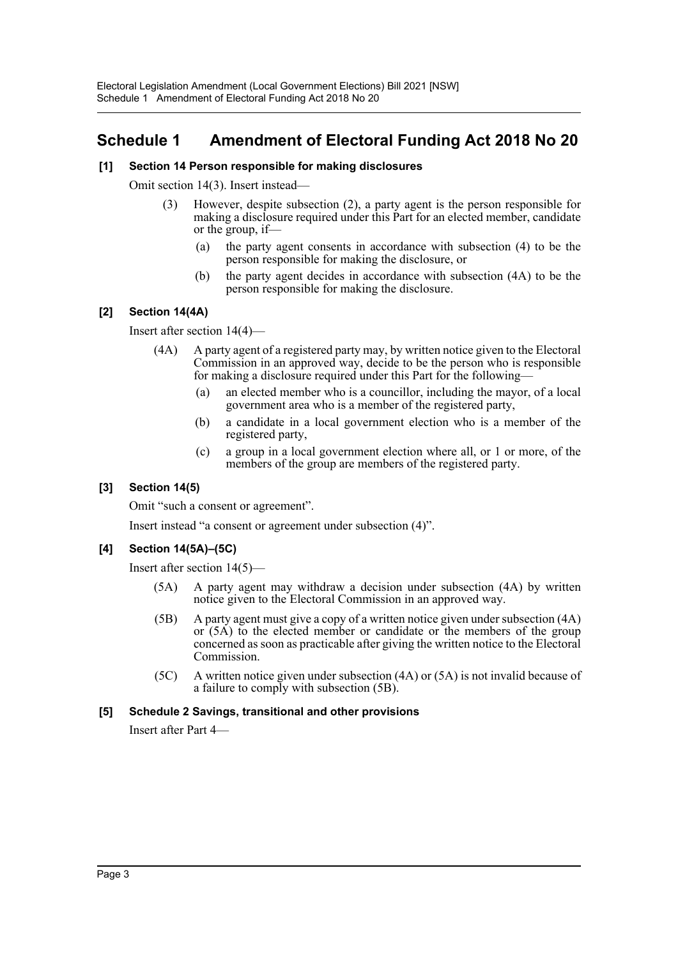## <span id="page-3-0"></span>**Schedule 1 Amendment of Electoral Funding Act 2018 No 20**

#### **[1] Section 14 Person responsible for making disclosures**

Omit section 14(3). Insert instead—

- (3) However, despite subsection (2), a party agent is the person responsible for making a disclosure required under this Part for an elected member, candidate or the group, if—
	- (a) the party agent consents in accordance with subsection (4) to be the person responsible for making the disclosure, or
	- (b) the party agent decides in accordance with subsection (4A) to be the person responsible for making the disclosure.

#### **[2] Section 14(4A)**

Insert after section 14(4)—

- (4A) A party agent of a registered party may, by written notice given to the Electoral Commission in an approved way, decide to be the person who is responsible for making a disclosure required under this Part for the following—
	- (a) an elected member who is a councillor, including the mayor, of a local government area who is a member of the registered party,
	- (b) a candidate in a local government election who is a member of the registered party,
	- (c) a group in a local government election where all, or 1 or more, of the members of the group are members of the registered party.

#### **[3] Section 14(5)**

Omit "such a consent or agreement".

Insert instead "a consent or agreement under subsection (4)".

#### **[4] Section 14(5A)–(5C)**

Insert after section 14(5)—

- (5A) A party agent may withdraw a decision under subsection (4A) by written notice given to the Electoral Commission in an approved way.
- (5B) A party agent must give a copy of a written notice given under subsection (4A) or (5A) to the elected member or candidate or the members of the group concerned as soon as practicable after giving the written notice to the Electoral Commission.
- (5C) A written notice given under subsection (4A) or (5A) is not invalid because of a failure to comply with subsection (5B).

#### **[5] Schedule 2 Savings, transitional and other provisions**

Insert after Part 4—